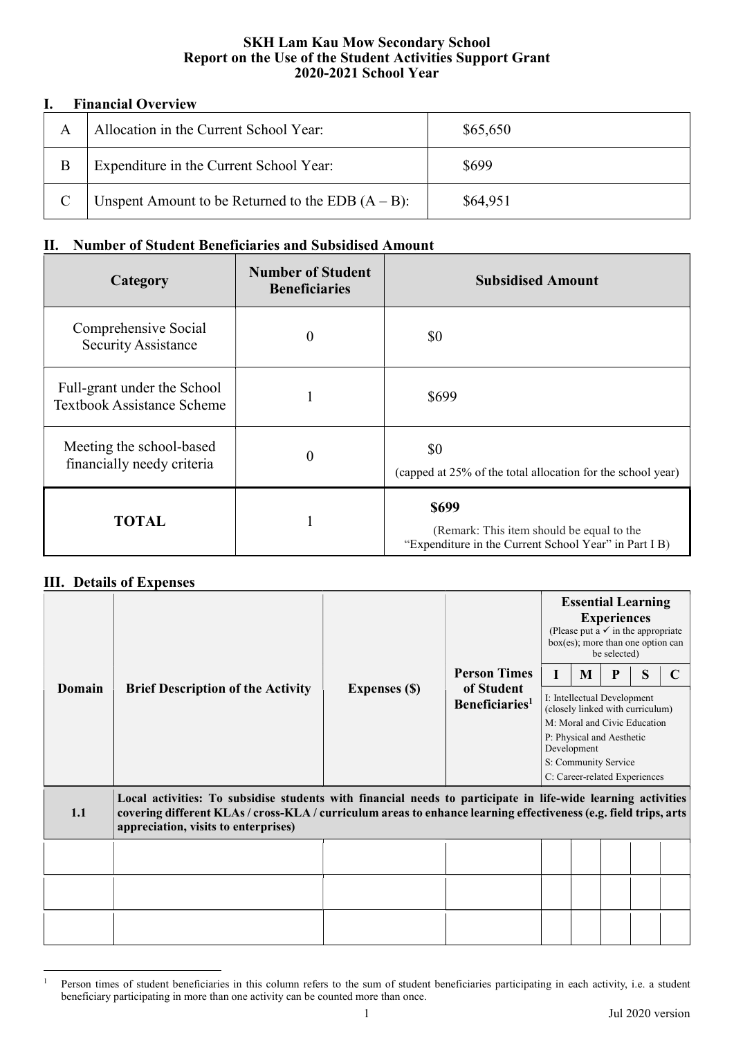## SKH Lam Kau Mow Secondary School Report on the Use of the Student Activities Support Grant 2020-2021 School Year

## I. Financial Overview

| A | Allocation in the Current School Year:               | \$65,650 |
|---|------------------------------------------------------|----------|
| B | Expenditure in the Current School Year:              | \$699    |
|   | Unspent Amount to be Returned to the EDB $(A - B)$ : | \$64,951 |

## II. Number of Student Beneficiaries and Subsidised Amount

| Category                                                         | <b>Number of Student</b><br><b>Beneficiaries</b> | <b>Subsidised Amount</b>                                                                                           |
|------------------------------------------------------------------|--------------------------------------------------|--------------------------------------------------------------------------------------------------------------------|
| Comprehensive Social<br><b>Security Assistance</b>               | $\theta$                                         | \$0                                                                                                                |
| Full-grant under the School<br><b>Textbook Assistance Scheme</b> |                                                  | \$699                                                                                                              |
| Meeting the school-based<br>financially needy criteria           | $\theta$                                         | \$0<br>(capped at 25% of the total allocation for the school year)                                                 |
| <b>TOTAL</b>                                                     |                                                  | <b>\$699</b><br>(Remark: This item should be equal to the<br>"Expenditure in the Current School Year" in Part I B) |

## III. Details of Expenses

|                                                                                                                                                                                                                                                                                 | <b>Brief Description of the Activity</b> | <b>Expenses (\$)</b> | <b>Person Times</b><br>of Student<br>Beneficiaries <sup>1</sup> | <b>Essential Learning</b><br><b>Experiences</b><br>(Please put a $\checkmark$ in the appropriate<br>box(es); more than one option can<br>be selected) |   |   |   |   |  |  |
|---------------------------------------------------------------------------------------------------------------------------------------------------------------------------------------------------------------------------------------------------------------------------------|------------------------------------------|----------------------|-----------------------------------------------------------------|-------------------------------------------------------------------------------------------------------------------------------------------------------|---|---|---|---|--|--|
|                                                                                                                                                                                                                                                                                 |                                          |                      |                                                                 |                                                                                                                                                       | M | P | S | C |  |  |
| Domain                                                                                                                                                                                                                                                                          |                                          |                      |                                                                 | I: Intellectual Development<br>(closely linked with curriculum)                                                                                       |   |   |   |   |  |  |
|                                                                                                                                                                                                                                                                                 |                                          |                      |                                                                 | M: Moral and Civic Education<br>P: Physical and Aesthetic<br>Development                                                                              |   |   |   |   |  |  |
|                                                                                                                                                                                                                                                                                 |                                          |                      |                                                                 | S: Community Service                                                                                                                                  |   |   |   |   |  |  |
|                                                                                                                                                                                                                                                                                 |                                          |                      |                                                                 | C: Career-related Experiences                                                                                                                         |   |   |   |   |  |  |
| Local activities: To subsidise students with financial needs to participate in life-wide learning activities<br>covering different KLAs / cross-KLA / curriculum areas to enhance learning effectiveness (e.g. field trips, arts<br>1.1<br>appreciation, visits to enterprises) |                                          |                      |                                                                 |                                                                                                                                                       |   |   |   |   |  |  |
|                                                                                                                                                                                                                                                                                 |                                          |                      |                                                                 |                                                                                                                                                       |   |   |   |   |  |  |
|                                                                                                                                                                                                                                                                                 |                                          |                      |                                                                 |                                                                                                                                                       |   |   |   |   |  |  |
|                                                                                                                                                                                                                                                                                 |                                          |                      |                                                                 |                                                                                                                                                       |   |   |   |   |  |  |

 $\overline{a}$ 1 Person times of student beneficiaries in this column refers to the sum of student beneficiaries participating in each activity, i.e. a student beneficiary participating in more than one activity can be counted more than once.